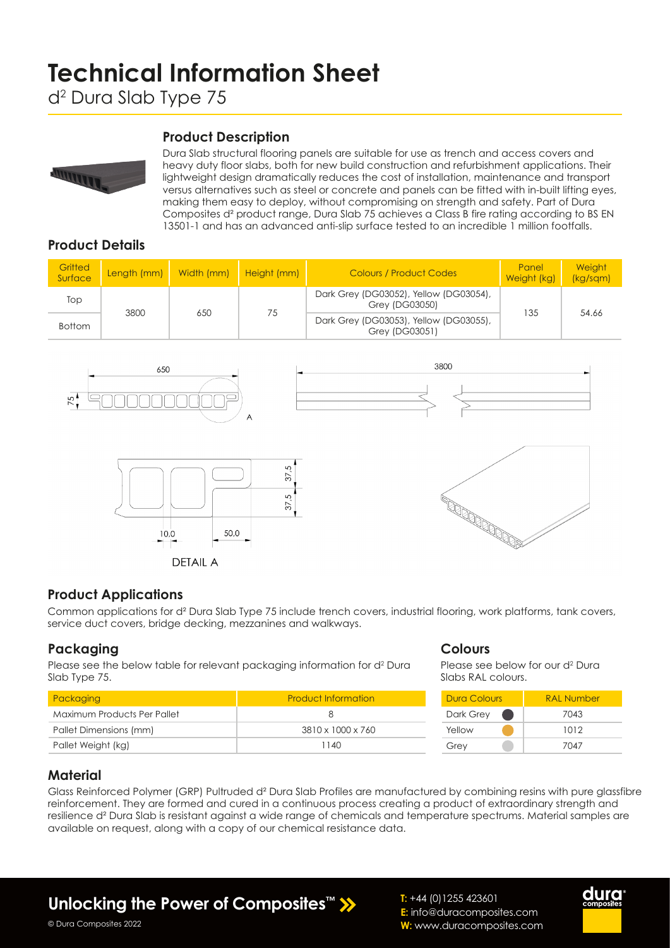# **Technical Information Sheet**

# d2 Dura Slab Type 75

#### **Product Description**



Dura Slab structural flooring panels are suitable for use as trench and access covers and heavy duty floor slabs, both for new build construction and refurbishment applications. Their lightweight design dramatically reduces the cost of installation, maintenance and transport versus alternatives such as steel or concrete and panels can be fitted with in-built lifting eyes, making them easy to deploy, without compromising on strength and safety. Part of Dura Composites d² product range, Dura Slab 75 achieves a Class B fire rating according to BS EN 13501-1 and has an advanced anti-slip surface tested to an incredible 1 million footfalls.

## **Product Details**

| Gritted<br>Surface | Length (mm) | Width (mm) | <b>Height (mm)</b> | Colours / Product Codes                                  | Panel<br>Weight (kg) | <b>Weight</b><br>(kg/sgm) |
|--------------------|-------------|------------|--------------------|----------------------------------------------------------|----------------------|---------------------------|
| Top                |             | 650        | 75                 | Dark Grey (DG03052), Yellow (DG03054),<br>Grey (DG03050) |                      | 54.66                     |
| <b>Bottom</b>      | 3800        |            |                    | Dark Grey (DG03053), Yellow (DG03055),<br>Grey (DG03051) | 135                  |                           |



#### **Product Applications**

Common applications for d² Dura Slab Type 75 include trench covers, industrial flooring, work platforms, tank covers, service duct covers, bridge decking, mezzanines and walkways.

#### **Packaging**

Please see the below table for relevant packaging information for d<sup>2</sup> Dura Slab Type 75.

| Packaging                   | <b>Product Information</b> |
|-----------------------------|----------------------------|
| Maximum Products Per Pallet | Χ                          |
| Pallet Dimensions (mm)      | 3810 x 1000 x 760          |
| Pallet Weight (kg)          | 1140                       |

#### **Colours**

Please see below for our d<sup>2</sup> Dura Slabs RAL colours.

| <b>Dura Colours</b> | <b>RAI Number</b> |  |  |
|---------------------|-------------------|--|--|
| Dark Grey           | 7043              |  |  |
| Yellow              | 1012              |  |  |
| Grey                | 7047              |  |  |

#### **Material**

Glass Reinforced Polymer (GRP) Pultruded d² Dura Slab Profiles are manufactured by combining resins with pure glassfibre reinforcement. They are formed and cured in a continuous process creating a product of extraordinary strength and resilience d² Dura Slab is resistant against a wide range of chemicals and temperature spectrums. Material samples are available on request, along with a copy of our chemical resistance data.

**Unlocking the Power of Composites™**

**T:** +44 (0)1255 423601 **E:** info@duracomposites.com **W:** www.duracomposites.com



© Dura Composites 2022